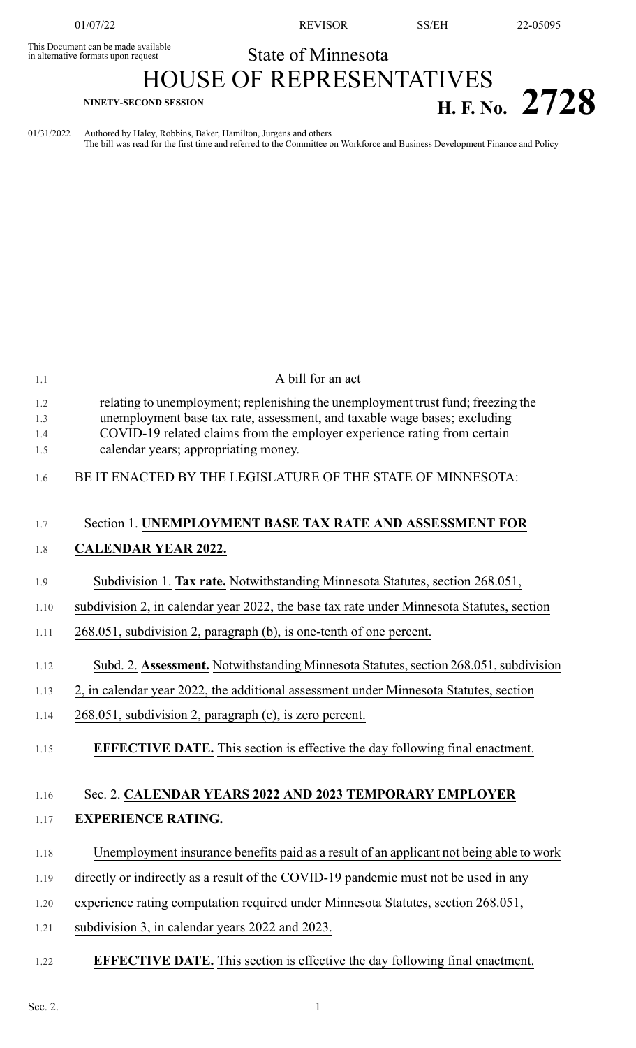This Document can be made available<br>in alternative formats upon request

01/07/22 REVISOR SS/EH 22-05095

## State of Minnesota

## HOUSE OF REPRESENTATIVES **H. F. No.** 2728

01/31/2022 Authored by Haley, Robbins, Baker, Hamilton, Jurgens and others The bill was read for the first time and referred to the Committee on Workforce and Business Development Finance and Policy

| 1.1                      | A bill for an act                                                                                                                                                                                                                                                                 |
|--------------------------|-----------------------------------------------------------------------------------------------------------------------------------------------------------------------------------------------------------------------------------------------------------------------------------|
| 1.2<br>1.3<br>1.4<br>1.5 | relating to unemployment; replenishing the unemployment trust fund; freezing the<br>unemployment base tax rate, assessment, and taxable wage bases; excluding<br>COVID-19 related claims from the employer experience rating from certain<br>calendar years; appropriating money. |
| 1.6                      | BE IT ENACTED BY THE LEGISLATURE OF THE STATE OF MINNESOTA:                                                                                                                                                                                                                       |
| 1.7                      | Section 1. UNEMPLOYMENT BASE TAX RATE AND ASSESSMENT FOR                                                                                                                                                                                                                          |
| 1.8                      | <b>CALENDAR YEAR 2022.</b>                                                                                                                                                                                                                                                        |
| 1.9                      | Subdivision 1. Tax rate. Notwithstanding Minnesota Statutes, section 268.051,                                                                                                                                                                                                     |
| 1.10                     | subdivision 2, in calendar year 2022, the base tax rate under Minnesota Statutes, section                                                                                                                                                                                         |
| 1.11                     | 268.051, subdivision 2, paragraph (b), is one-tenth of one percent.                                                                                                                                                                                                               |
| 1.12                     | Subd. 2. Assessment. Notwithstanding Minnesota Statutes, section 268.051, subdivision                                                                                                                                                                                             |
| 1.13                     | 2, in calendar year 2022, the additional assessment under Minnesota Statutes, section                                                                                                                                                                                             |
| 1.14                     | 268.051, subdivision 2, paragraph (c), is zero percent.                                                                                                                                                                                                                           |
| 1.15                     | <b>EFFECTIVE DATE.</b> This section is effective the day following final enactment.                                                                                                                                                                                               |
| 1.16                     | Sec. 2. CALENDAR YEARS 2022 AND 2023 TEMPORARY EMPLOYER                                                                                                                                                                                                                           |
| 1.17                     | <b>EXPERIENCE RATING.</b>                                                                                                                                                                                                                                                         |
| 1.18                     | Unemployment insurance benefits paid as a result of an applicant not being able to work                                                                                                                                                                                           |
| 1.19                     | directly or indirectly as a result of the COVID-19 pandemic must not be used in any                                                                                                                                                                                               |
| $1.20\,$                 | experience rating computation required under Minnesota Statutes, section 268.051,                                                                                                                                                                                                 |
| 1.21                     | subdivision 3, in calendar years 2022 and 2023.                                                                                                                                                                                                                                   |
| 1.22                     | <b>EFFECTIVE DATE.</b> This section is effective the day following final enactment.                                                                                                                                                                                               |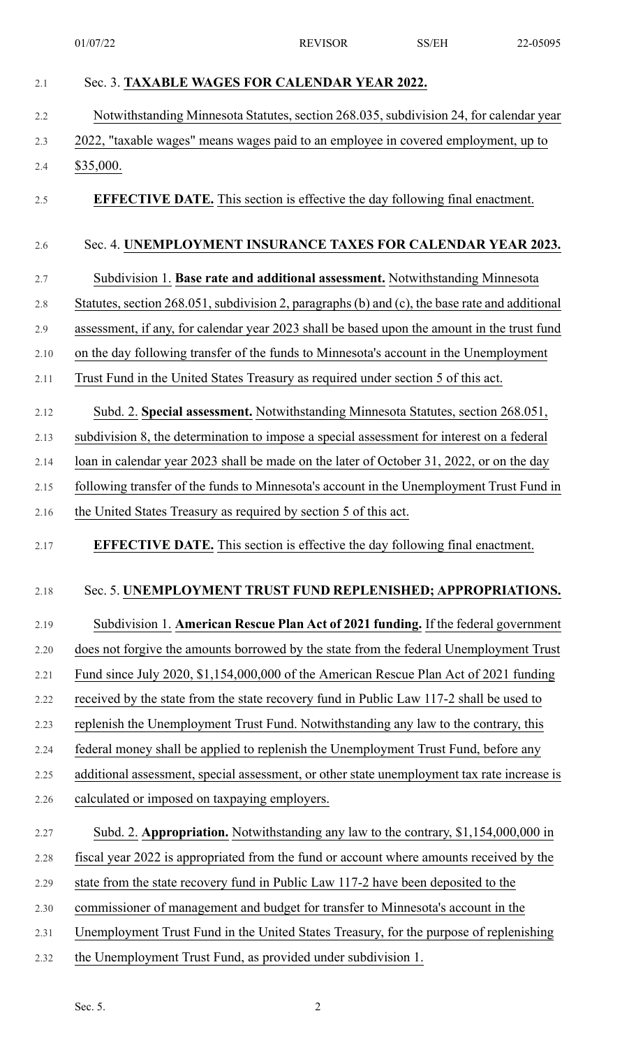| Notwithstanding Minnesota Statutes, section 268.035, subdivision 24, for calendar year         |
|------------------------------------------------------------------------------------------------|
| 2022, "taxable wages" means wages paid to an employee in covered employment, up to             |
| \$35,000.                                                                                      |
| <b>EFFECTIVE DATE.</b> This section is effective the day following final enactment.            |
| Sec. 4. UNEMPLOYMENT INSURANCE TAXES FOR CALENDAR YEAR 2023.                                   |
| Subdivision 1. Base rate and additional assessment. Notwithstanding Minnesota                  |
| Statutes, section 268.051, subdivision 2, paragraphs (b) and (c), the base rate and additional |
| assessment, if any, for calendar year 2023 shall be based upon the amount in the trust fund    |
| on the day following transfer of the funds to Minnesota's account in the Unemployment          |
| Trust Fund in the United States Treasury as required under section 5 of this act.              |
| Subd. 2. Special assessment. Notwithstanding Minnesota Statutes, section 268.051,              |
| subdivision 8, the determination to impose a special assessment for interest on a federal      |
| loan in calendar year 2023 shall be made on the later of October 31, 2022, or on the day       |
| following transfer of the funds to Minnesota's account in the Unemployment Trust Fund in       |
| the United States Treasury as required by section 5 of this act.                               |
| <b>EFFECTIVE DATE.</b> This section is effective the day following final enactment.            |
| Sec. 5. UNEMPLOYMENT TRUST FUND REPLENISHED; APPROPRIATIONS.                                   |
|                                                                                                |
| Subdivision 1. American Rescue Plan Act of 2021 funding. If the federal government             |
| does not forgive the amounts borrowed by the state from the federal Unemployment Trust         |
| Fund since July 2020, \$1,154,000,000 of the American Rescue Plan Act of 2021 funding          |
| received by the state from the state recovery fund in Public Law 117-2 shall be used to        |
| replenish the Unemployment Trust Fund. Notwithstanding any law to the contrary, this           |
| federal money shall be applied to replenish the Unemployment Trust Fund, before any            |
| additional assessment, special assessment, or other state unemployment tax rate increase is    |
| calculated or imposed on taxpaying employers.                                                  |
| Subd. 2. Appropriation. Notwithstanding any law to the contrary, \$1,154,000,000 in            |
| fiscal year 2022 is appropriated from the fund or account where amounts received by the        |
| state from the state recovery fund in Public Law 117-2 have been deposited to the              |
| commissioner of management and budget for transfer to Minnesota's account in the               |
| Unemployment Trust Fund in the United States Treasury, for the purpose of replenishing         |